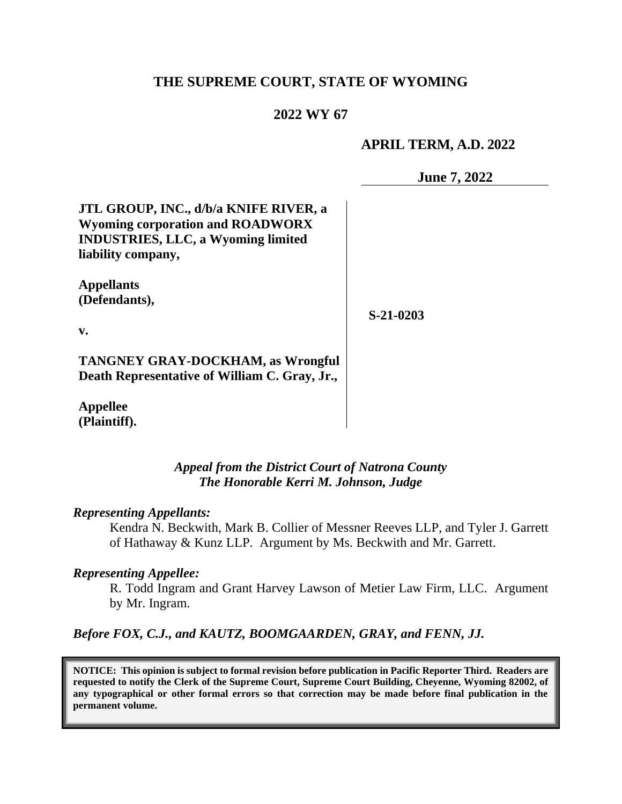## **THE SUPREME COURT, STATE OF WYOMING**

## **2022 WY 67**

#### **APRIL TERM, A.D. 2022**

**June 7, 2022**

**JTL GROUP, INC., d/b/a KNIFE RIVER, a Wyoming corporation and ROADWORX INDUSTRIES, LLC, a Wyoming limited liability company,**

**Appellants (Defendants),**

**S-21-0203**

**v.**

**TANGNEY GRAY-DOCKHAM, as Wrongful Death Representative of William C. Gray, Jr.,**

**Appellee (Plaintiff).**

> *Appeal from the District Court of Natrona County The Honorable Kerri M. Johnson, Judge*

#### *Representing Appellants:*

Kendra N. Beckwith, Mark B. Collier of Messner Reeves LLP, and Tyler J. Garrett of Hathaway & Kunz LLP. Argument by Ms. Beckwith and Mr. Garrett.

#### *Representing Appellee:*

R. Todd Ingram and Grant Harvey Lawson of Metier Law Firm, LLC. Argument by Mr. Ingram.

*Before FOX, C.J., and KAUTZ, BOOMGAARDEN, GRAY, and FENN, JJ.*

**NOTICE: This opinion is subject to formal revision before publication in Pacific Reporter Third. Readers are requested to notify the Clerk of the Supreme Court, Supreme Court Building, Cheyenne, Wyoming 82002, of any typographical or other formal errors so that correction may be made before final publication in the permanent volume.**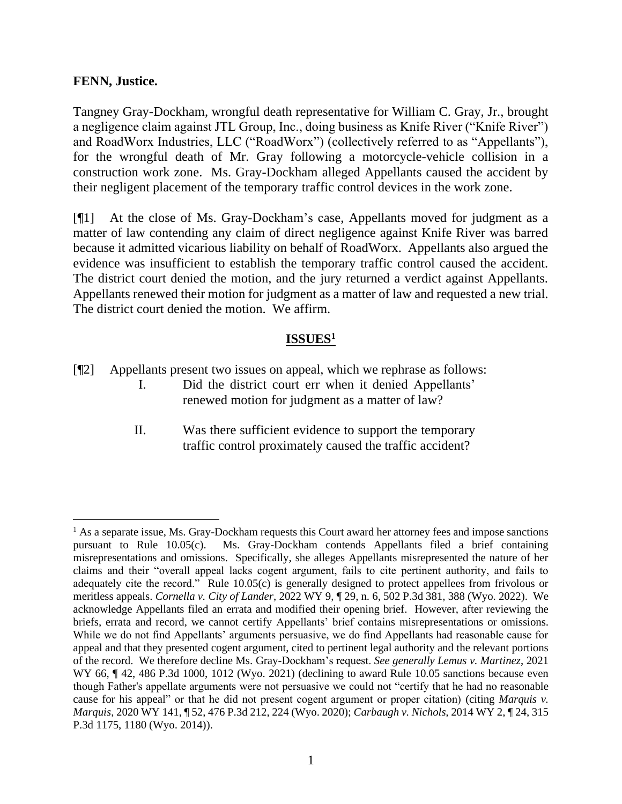#### **FENN, Justice.**

Tangney Gray-Dockham, wrongful death representative for William C. Gray, Jr., brought a negligence claim against JTL Group, Inc., doing business as Knife River ("Knife River") and RoadWorx Industries, LLC ("RoadWorx") (collectively referred to as "Appellants"), for the wrongful death of Mr. Gray following a motorcycle-vehicle collision in a construction work zone. Ms. Gray-Dockham alleged Appellants caused the accident by their negligent placement of the temporary traffic control devices in the work zone.

[¶1] At the close of Ms. Gray-Dockham's case, Appellants moved for judgment as a matter of law contending any claim of direct negligence against Knife River was barred because it admitted vicarious liability on behalf of RoadWorx. Appellants also argued the evidence was insufficient to establish the temporary traffic control caused the accident. The district court denied the motion, and the jury returned a verdict against Appellants. Appellants renewed their motion for judgment as a matter of law and requested a new trial. The district court denied the motion. We affirm.

## **ISSUES<sup>1</sup>**

- [¶2] Appellants present two issues on appeal, which we rephrase as follows:
	- I. Did the district court err when it denied Appellants' renewed motion for judgment as a matter of law?
	- II. Was there sufficient evidence to support the temporary traffic control proximately caused the traffic accident?

 $<sup>1</sup>$  As a separate issue, Ms. Gray-Dockham requests this Court award her attorney fees and impose sanctions</sup> pursuant to Rule 10.05(c). Ms. Gray-Dockham contends Appellants filed a brief containing misrepresentations and omissions. Specifically, she alleges Appellants misrepresented the nature of her claims and their "overall appeal lacks cogent argument, fails to cite pertinent authority, and fails to adequately cite the record." Rule 10.05(c) is generally designed to protect appellees from frivolous or meritless appeals. *Cornella v. City of Lander*, 2022 WY 9, ¶ 29, n. 6, 502 P.3d 381, 388 (Wyo. 2022). We acknowledge Appellants filed an errata and modified their opening brief. However, after reviewing the briefs, errata and record, we cannot certify Appellants' brief contains misrepresentations or omissions. While we do not find Appellants' arguments persuasive, we do find Appellants had reasonable cause for appeal and that they presented cogent argument, cited to pertinent legal authority and the relevant portions of the record. We therefore decline Ms. Gray-Dockham's request. *See generally Lemus v. Martinez*, 2021 WY 66,  $\P$  42, 486 P.3d 1000, 1012 (Wyo. 2021) (declining to award Rule 10.05 sanctions because even though Father's appellate arguments were not persuasive we could not "certify that he had no reasonable cause for his appeal" or that he did not present cogent argument or proper citation) (citing *Marquis v. Marquis*, 2020 WY 141, ¶ 52, 476 P.3d 212, 224 (Wyo. 2020); *Carbaugh v. Nichols,* 2014 WY 2, ¶ 24, 315 P.3d 1175, 1180 (Wyo. 2014)).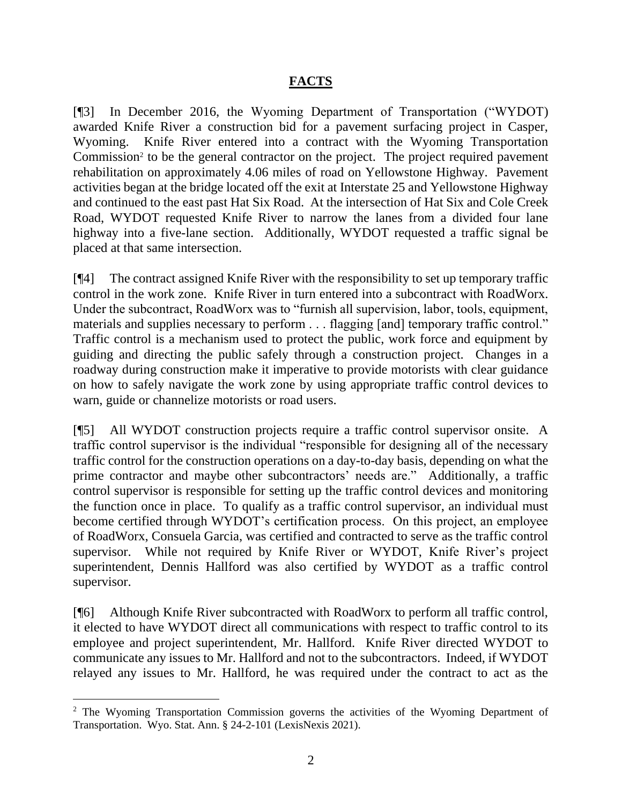#### **FACTS**

[¶3] In December 2016, the Wyoming Department of Transportation ("WYDOT) awarded Knife River a construction bid for a pavement surfacing project in Casper, Wyoming. Knife River entered into a contract with the Wyoming Transportation Commission<sup>2</sup> to be the general contractor on the project. The project required pavement rehabilitation on approximately 4.06 miles of road on Yellowstone Highway. Pavement activities began at the bridge located off the exit at Interstate 25 and Yellowstone Highway and continued to the east past Hat Six Road. At the intersection of Hat Six and Cole Creek Road, WYDOT requested Knife River to narrow the lanes from a divided four lane highway into a five-lane section. Additionally, WYDOT requested a traffic signal be placed at that same intersection.

[¶4] The contract assigned Knife River with the responsibility to set up temporary traffic control in the work zone. Knife River in turn entered into a subcontract with RoadWorx. Under the subcontract, RoadWorx was to "furnish all supervision, labor, tools, equipment, materials and supplies necessary to perform . . . flagging [and] temporary traffic control." Traffic control is a mechanism used to protect the public, work force and equipment by guiding and directing the public safely through a construction project. Changes in a roadway during construction make it imperative to provide motorists with clear guidance on how to safely navigate the work zone by using appropriate traffic control devices to warn, guide or channelize motorists or road users.

[¶5] All WYDOT construction projects require a traffic control supervisor onsite. A traffic control supervisor is the individual "responsible for designing all of the necessary traffic control for the construction operations on a day-to-day basis, depending on what the prime contractor and maybe other subcontractors' needs are." Additionally, a traffic control supervisor is responsible for setting up the traffic control devices and monitoring the function once in place. To qualify as a traffic control supervisor, an individual must become certified through WYDOT's certification process. On this project, an employee of RoadWorx, Consuela Garcia, was certified and contracted to serve as the traffic control supervisor. While not required by Knife River or WYDOT, Knife River's project superintendent, Dennis Hallford was also certified by WYDOT as a traffic control supervisor.

[¶6] Although Knife River subcontracted with RoadWorx to perform all traffic control, it elected to have WYDOT direct all communications with respect to traffic control to its employee and project superintendent, Mr. Hallford. Knife River directed WYDOT to communicate any issues to Mr. Hallford and not to the subcontractors. Indeed, if WYDOT relayed any issues to Mr. Hallford, he was required under the contract to act as the

<sup>2</sup> The Wyoming Transportation Commission governs the activities of the Wyoming Department of Transportation. Wyo. Stat. Ann. § 24-2-101 (LexisNexis 2021).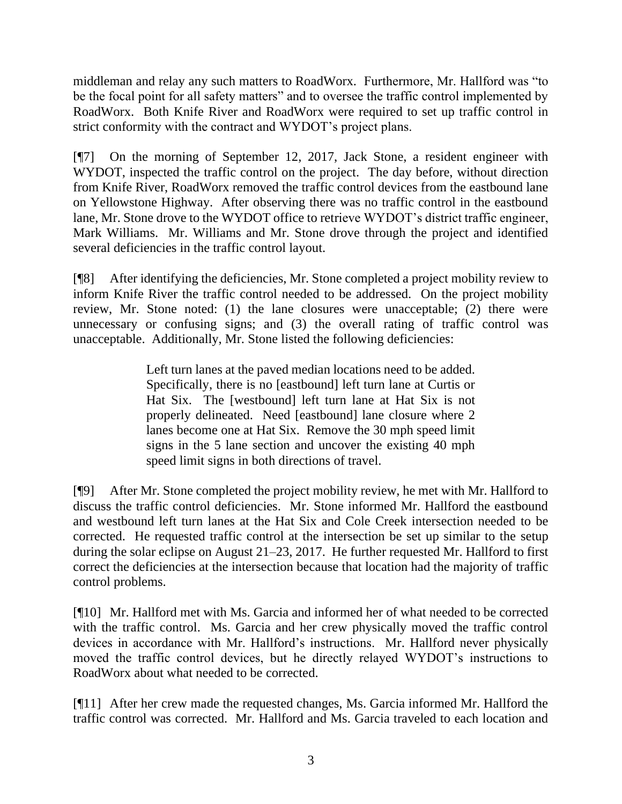middleman and relay any such matters to RoadWorx. Furthermore, Mr. Hallford was "to be the focal point for all safety matters" and to oversee the traffic control implemented by RoadWorx. Both Knife River and RoadWorx were required to set up traffic control in strict conformity with the contract and WYDOT's project plans.

[¶7] On the morning of September 12, 2017, Jack Stone, a resident engineer with WYDOT, inspected the traffic control on the project. The day before, without direction from Knife River, RoadWorx removed the traffic control devices from the eastbound lane on Yellowstone Highway. After observing there was no traffic control in the eastbound lane, Mr. Stone drove to the WYDOT office to retrieve WYDOT's district traffic engineer, Mark Williams. Mr. Williams and Mr. Stone drove through the project and identified several deficiencies in the traffic control layout.

[¶8] After identifying the deficiencies, Mr. Stone completed a project mobility review to inform Knife River the traffic control needed to be addressed. On the project mobility review, Mr. Stone noted: (1) the lane closures were unacceptable; (2) there were unnecessary or confusing signs; and (3) the overall rating of traffic control was unacceptable. Additionally, Mr. Stone listed the following deficiencies:

> Left turn lanes at the paved median locations need to be added. Specifically, there is no [eastbound] left turn lane at Curtis or Hat Six. The [westbound] left turn lane at Hat Six is not properly delineated. Need [eastbound] lane closure where 2 lanes become one at Hat Six. Remove the 30 mph speed limit signs in the 5 lane section and uncover the existing 40 mph speed limit signs in both directions of travel.

[¶9] After Mr. Stone completed the project mobility review, he met with Mr. Hallford to discuss the traffic control deficiencies. Mr. Stone informed Mr. Hallford the eastbound and westbound left turn lanes at the Hat Six and Cole Creek intersection needed to be corrected. He requested traffic control at the intersection be set up similar to the setup during the solar eclipse on August 21–23, 2017. He further requested Mr. Hallford to first correct the deficiencies at the intersection because that location had the majority of traffic control problems.

[¶10] Mr. Hallford met with Ms. Garcia and informed her of what needed to be corrected with the traffic control. Ms. Garcia and her crew physically moved the traffic control devices in accordance with Mr. Hallford's instructions. Mr. Hallford never physically moved the traffic control devices, but he directly relayed WYDOT's instructions to RoadWorx about what needed to be corrected.

[¶11] After her crew made the requested changes, Ms. Garcia informed Mr. Hallford the traffic control was corrected. Mr. Hallford and Ms. Garcia traveled to each location and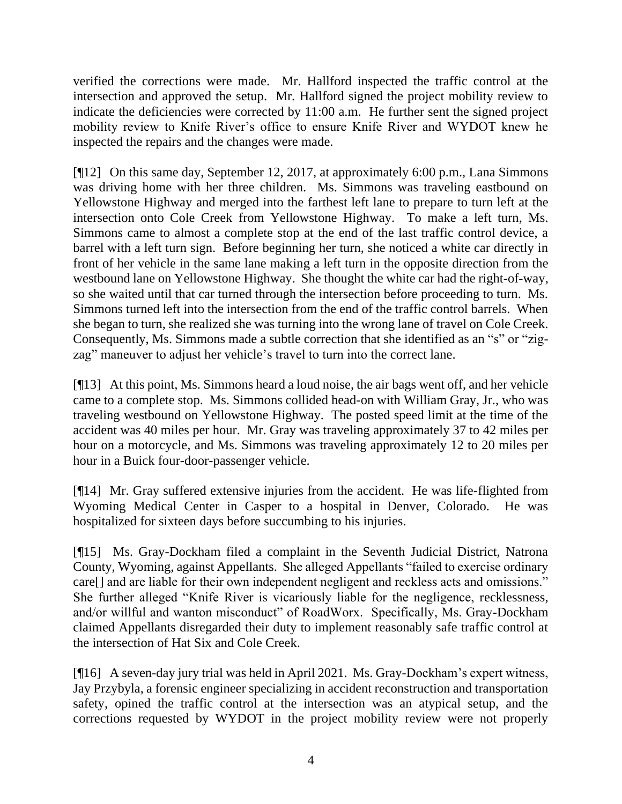verified the corrections were made. Mr. Hallford inspected the traffic control at the intersection and approved the setup. Mr. Hallford signed the project mobility review to indicate the deficiencies were corrected by 11:00 a.m. He further sent the signed project mobility review to Knife River's office to ensure Knife River and WYDOT knew he inspected the repairs and the changes were made.

[¶12] On this same day, September 12, 2017, at approximately 6:00 p.m., Lana Simmons was driving home with her three children. Ms. Simmons was traveling eastbound on Yellowstone Highway and merged into the farthest left lane to prepare to turn left at the intersection onto Cole Creek from Yellowstone Highway. To make a left turn, Ms. Simmons came to almost a complete stop at the end of the last traffic control device, a barrel with a left turn sign. Before beginning her turn, she noticed a white car directly in front of her vehicle in the same lane making a left turn in the opposite direction from the westbound lane on Yellowstone Highway. She thought the white car had the right-of-way, so she waited until that car turned through the intersection before proceeding to turn. Ms. Simmons turned left into the intersection from the end of the traffic control barrels. When she began to turn, she realized she was turning into the wrong lane of travel on Cole Creek. Consequently, Ms. Simmons made a subtle correction that she identified as an "s" or "zigzag" maneuver to adjust her vehicle's travel to turn into the correct lane.

[¶13] At this point, Ms. Simmons heard a loud noise, the air bags went off, and her vehicle came to a complete stop. Ms. Simmons collided head-on with William Gray, Jr., who was traveling westbound on Yellowstone Highway. The posted speed limit at the time of the accident was 40 miles per hour. Mr. Gray was traveling approximately 37 to 42 miles per hour on a motorcycle, and Ms. Simmons was traveling approximately 12 to 20 miles per hour in a Buick four-door-passenger vehicle.

[¶14] Mr. Gray suffered extensive injuries from the accident. He was life-flighted from Wyoming Medical Center in Casper to a hospital in Denver, Colorado. He was hospitalized for sixteen days before succumbing to his injuries.

[¶15] Ms. Gray-Dockham filed a complaint in the Seventh Judicial District, Natrona County, Wyoming, against Appellants. She alleged Appellants "failed to exercise ordinary care[] and are liable for their own independent negligent and reckless acts and omissions." She further alleged "Knife River is vicariously liable for the negligence, recklessness, and/or willful and wanton misconduct" of RoadWorx. Specifically, Ms. Gray-Dockham claimed Appellants disregarded their duty to implement reasonably safe traffic control at the intersection of Hat Six and Cole Creek.

[¶16] A seven-day jury trial was held in April 2021. Ms. Gray-Dockham's expert witness, Jay Przybyla, a forensic engineer specializing in accident reconstruction and transportation safety, opined the traffic control at the intersection was an atypical setup, and the corrections requested by WYDOT in the project mobility review were not properly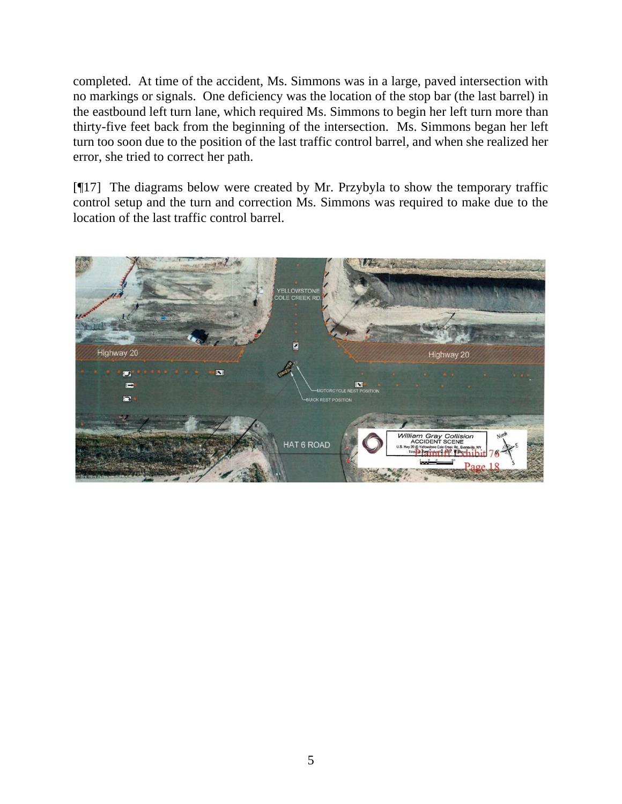completed. At time of the accident, Ms. Simmons was in a large, paved intersection with no markings or signals. One deficiency was the location of the stop bar (the last barrel) in the eastbound left turn lane, which required Ms. Simmons to begin her left turn more than thirty-five feet back from the beginning of the intersection. Ms. Simmons began her left turn too soon due to the position of the last traffic control barrel, and when she realized her error, she tried to correct her path.

[¶17] The diagrams below were created by Mr. Przybyla to show the temporary traffic control setup and the turn and correction Ms. Simmons was required to make due to the location of the last traffic control barrel.

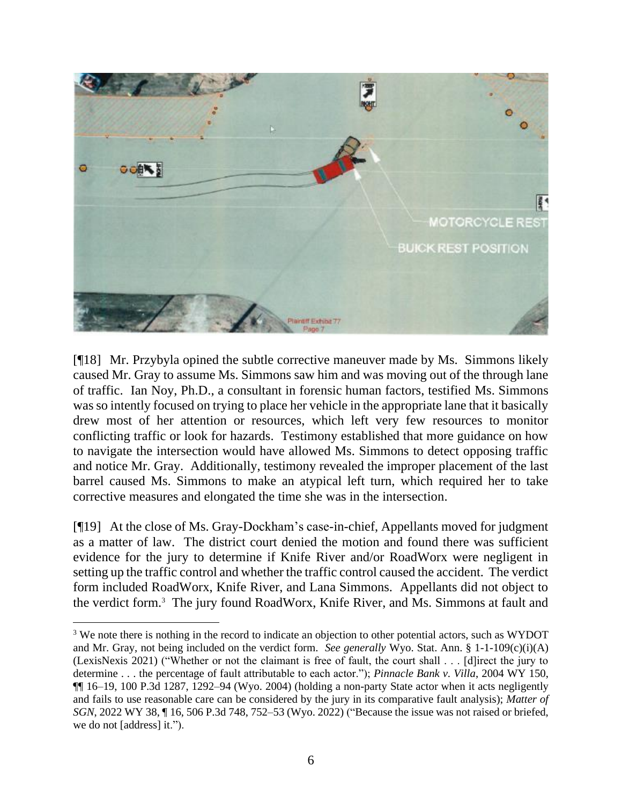

[¶18] Mr. Przybyla opined the subtle corrective maneuver made by Ms. Simmons likely caused Mr. Gray to assume Ms. Simmons saw him and was moving out of the through lane of traffic. Ian Noy, Ph.D., a consultant in forensic human factors, testified Ms. Simmons was so intently focused on trying to place her vehicle in the appropriate lane that it basically drew most of her attention or resources, which left very few resources to monitor conflicting traffic or look for hazards. Testimony established that more guidance on how to navigate the intersection would have allowed Ms. Simmons to detect opposing traffic and notice Mr. Gray. Additionally, testimony revealed the improper placement of the last barrel caused Ms. Simmons to make an atypical left turn, which required her to take corrective measures and elongated the time she was in the intersection.

[¶19] At the close of Ms. Gray-Dockham's case-in-chief, Appellants moved for judgment as a matter of law. The district court denied the motion and found there was sufficient evidence for the jury to determine if Knife River and/or RoadWorx were negligent in setting up the traffic control and whether the traffic control caused the accident. The verdict form included RoadWorx, Knife River, and Lana Simmons. Appellants did not object to the verdict form.<sup>3</sup> The jury found RoadWorx, Knife River, and Ms. Simmons at fault and

<sup>&</sup>lt;sup>3</sup> We note there is nothing in the record to indicate an objection to other potential actors, such as WYDOT and Mr. Gray, not being included on the verdict form. *See generally* Wyo. Stat. Ann. § 1-1-109(c)(i)(A) (LexisNexis 2021) ("Whether or not the claimant is free of fault, the court shall . . . [d]irect the jury to determine . . . the percentage of fault attributable to each actor."); *Pinnacle Bank v. Villa*, 2004 WY 150, ¶¶ 16–19, 100 P.3d 1287, 1292–94 (Wyo. 2004) (holding a non-party State actor when it acts negligently and fails to use reasonable care can be considered by the jury in its comparative fault analysis); *Matter of SGN*, 2022 WY 38, ¶ 16, 506 P.3d 748, 752–53 (Wyo. 2022) ("Because the issue was not raised or briefed, we do not [address] it.").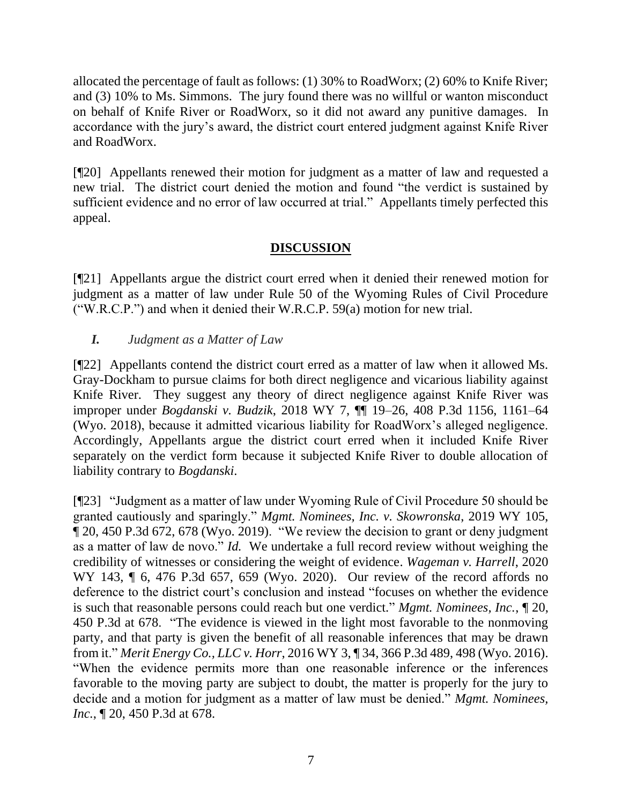allocated the percentage of fault as follows: (1) 30% to RoadWorx; (2) 60% to Knife River; and (3) 10% to Ms. Simmons. The jury found there was no willful or wanton misconduct on behalf of Knife River or RoadWorx, so it did not award any punitive damages. In accordance with the jury's award, the district court entered judgment against Knife River and RoadWorx.

[¶20] Appellants renewed their motion for judgment as a matter of law and requested a new trial. The district court denied the motion and found "the verdict is sustained by sufficient evidence and no error of law occurred at trial." Appellants timely perfected this appeal.

## **DISCUSSION**

[¶21] Appellants argue the district court erred when it denied their renewed motion for judgment as a matter of law under Rule 50 of the Wyoming Rules of Civil Procedure ("W.R.C.P.") and when it denied their W.R.C.P. 59(a) motion for new trial.

# *I. Judgment as a Matter of Law*

[¶22] Appellants contend the district court erred as a matter of law when it allowed Ms. Gray-Dockham to pursue claims for both direct negligence and vicarious liability against Knife River. They suggest any theory of direct negligence against Knife River was improper under *Bogdanski v. Budzik*, 2018 WY 7, ¶¶ 19–26, 408 P.3d 1156, 1161–64 (Wyo. 2018), because it admitted vicarious liability for RoadWorx's alleged negligence. Accordingly, Appellants argue the district court erred when it included Knife River separately on the verdict form because it subjected Knife River to double allocation of liability contrary to *Bogdanski*.

[¶23] "Judgment as a matter of law under Wyoming Rule of Civil Procedure 50 should be granted cautiously and sparingly." *Mgmt. Nominees, Inc. v. Skowronska*, 2019 WY 105, ¶ 20, 450 P.3d 672, 678 (Wyo. 2019). "We review the decision to grant or deny judgment as a matter of law de novo." *Id.* We undertake a full record review without weighing the credibility of witnesses or considering the weight of evidence. *Wageman v. Harrell*, 2020 WY 143, ¶ 6, 476 P.3d 657, 659 (Wyo. 2020). Our review of the record affords no deference to the district court's conclusion and instead "focuses on whether the evidence is such that reasonable persons could reach but one verdict." *Mgmt. Nominees, Inc.*, ¶ 20, 450 P.3d at 678. "The evidence is viewed in the light most favorable to the nonmoving party, and that party is given the benefit of all reasonable inferences that may be drawn from it." *Merit Energy Co., LLC v. Horr*, 2016 WY 3, ¶ 34, 366 P.3d 489, 498 (Wyo. 2016). "When the evidence permits more than one reasonable inference or the inferences favorable to the moving party are subject to doubt, the matter is properly for the jury to decide and a motion for judgment as a matter of law must be denied." *Mgmt. Nominees, Inc.*, ¶ 20, 450 P.3d at 678.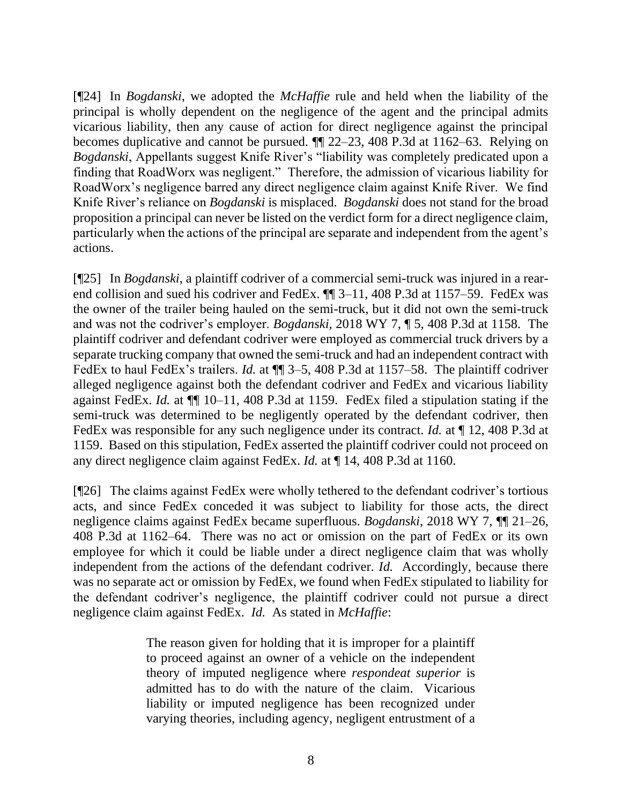[¶24] In *Bogdanski*, we adopted the *McHaffie* rule and held when the liability of the principal is wholly dependent on the negligence of the agent and the principal admits vicarious liability, then any cause of action for direct negligence against the principal becomes duplicative and cannot be pursued. ¶¶ 22–23, 408 P.3d at 1162–63. Relying on *Bogdanski*, Appellants suggest Knife River's "liability was completely predicated upon a finding that RoadWorx was negligent." Therefore, the admission of vicarious liability for RoadWorx's negligence barred any direct negligence claim against Knife River. We find Knife River's reliance on *Bogdanski* is misplaced. *Bogdanski* does not stand for the broad proposition a principal can never be listed on the verdict form for a direct negligence claim, particularly when the actions of the principal are separate and independent from the agent's actions.

[¶25] In *Bogdanski*, a plaintiff codriver of a commercial semi-truck was injured in a rearend collision and sued his codriver and FedEx. ¶¶ 3–11, 408 P.3d at 1157–59. FedEx was the owner of the trailer being hauled on the semi-truck, but it did not own the semi-truck and was not the codriver's employer. *Bogdanski*, 2018 WY 7, ¶ 5, 408 P.3d at 1158. The plaintiff codriver and defendant codriver were employed as commercial truck drivers by a separate trucking company that owned the semi-truck and had an independent contract with FedEx to haul FedEx's trailers. *Id.* at  $\P$  3–5, 408 P.3d at 1157–58. The plaintiff codriver alleged negligence against both the defendant codriver and FedEx and vicarious liability against FedEx. *Id.* at ¶¶ 10–11, 408 P.3d at 1159. FedEx filed a stipulation stating if the semi-truck was determined to be negligently operated by the defendant codriver, then FedEx was responsible for any such negligence under its contract. *Id.* at ¶ 12, 408 P.3d at 1159. Based on this stipulation, FedEx asserted the plaintiff codriver could not proceed on any direct negligence claim against FedEx. *Id.* at ¶ 14, 408 P.3d at 1160.

[¶26] The claims against FedEx were wholly tethered to the defendant codriver's tortious acts, and since FedEx conceded it was subject to liability for those acts, the direct negligence claims against FedEx became superfluous. *Bogdanski*, 2018 WY 7, ¶¶ 21–26, 408 P.3d at 1162–64. There was no act or omission on the part of FedEx or its own employee for which it could be liable under a direct negligence claim that was wholly independent from the actions of the defendant codriver. *Id.* Accordingly, because there was no separate act or omission by FedEx, we found when FedEx stipulated to liability for the defendant codriver's negligence, the plaintiff codriver could not pursue a direct negligence claim against FedEx. *Id.* As stated in *McHaffie*:

> The reason given for holding that it is improper for a plaintiff to proceed against an owner of a vehicle on the independent theory of imputed negligence where *respondeat superior* is admitted has to do with the nature of the claim. Vicarious liability or imputed negligence has been recognized under varying theories, including agency, negligent entrustment of a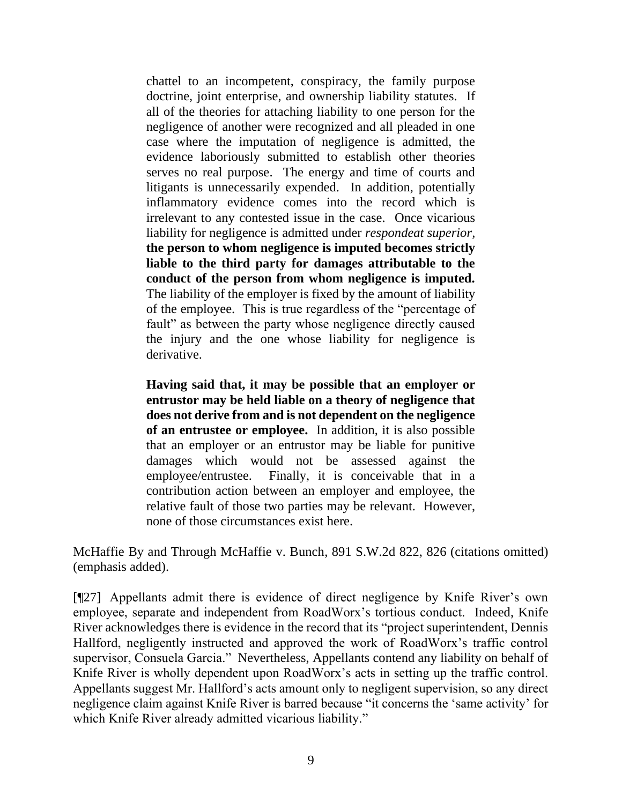chattel to an incompetent, conspiracy, the family purpose doctrine, joint enterprise, and ownership liability statutes. If all of the theories for attaching liability to one person for the negligence of another were recognized and all pleaded in one case where the imputation of negligence is admitted, the evidence laboriously submitted to establish other theories serves no real purpose. The energy and time of courts and litigants is unnecessarily expended. In addition, potentially inflammatory evidence comes into the record which is irrelevant to any contested issue in the case. Once vicarious liability for negligence is admitted under *respondeat superior,* **the person to whom negligence is imputed becomes strictly liable to the third party for damages attributable to the conduct of the person from whom negligence is imputed.** The liability of the employer is fixed by the amount of liability of the employee. This is true regardless of the "percentage of fault" as between the party whose negligence directly caused the injury and the one whose liability for negligence is derivative.

**Having said that, it may be possible that an employer or entrustor may be held liable on a theory of negligence that does not derive from and is not dependent on the negligence of an entrustee or employee.** In addition, it is also possible that an employer or an entrustor may be liable for punitive damages which would not be assessed against the employee/entrustee. Finally, it is conceivable that in a contribution action between an employer and employee, the relative fault of those two parties may be relevant. However, none of those circumstances exist here.

McHaffie By and Through McHaffie v. Bunch, 891 S.W.2d 822, 826 (citations omitted) (emphasis added).

[¶27] Appellants admit there is evidence of direct negligence by Knife River's own employee, separate and independent from RoadWorx's tortious conduct. Indeed, Knife River acknowledges there is evidence in the record that its "project superintendent, Dennis Hallford, negligently instructed and approved the work of RoadWorx's traffic control supervisor, Consuela Garcia." Nevertheless, Appellants contend any liability on behalf of Knife River is wholly dependent upon RoadWorx's acts in setting up the traffic control. Appellants suggest Mr. Hallford's acts amount only to negligent supervision, so any direct negligence claim against Knife River is barred because "it concerns the 'same activity' for which Knife River already admitted vicarious liability."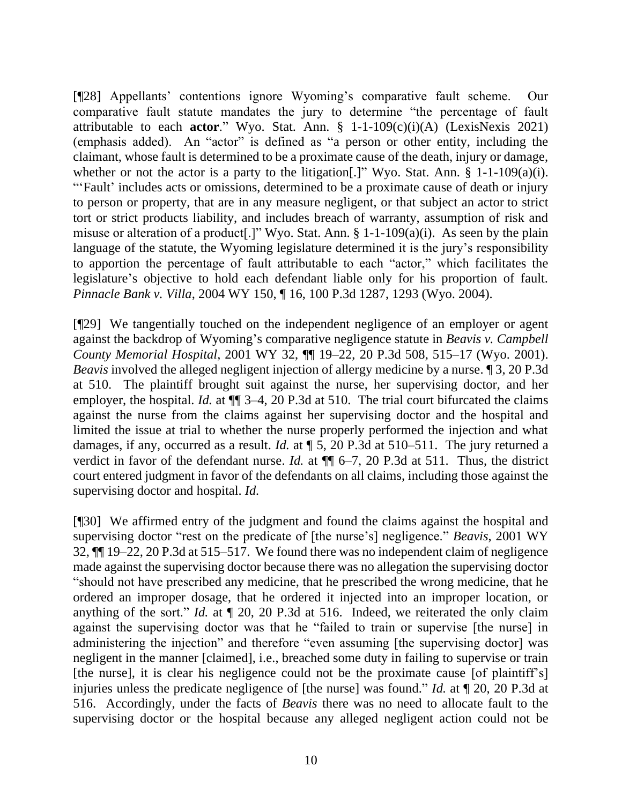[¶28] Appellants' contentions ignore Wyoming's comparative fault scheme. Our comparative fault statute mandates the jury to determine "the percentage of fault attributable to each **actor**." Wyo. Stat. Ann. § 1-1-109(c)(i)(A) (LexisNexis 2021) (emphasis added). An "actor" is defined as "a person or other entity, including the claimant, whose fault is determined to be a proximate cause of the death, injury or damage, whether or not the actor is a party to the litigation<sup>[1]</sup>. Wyo. Stat. Ann. § 1-1-109(a)(i). "'Fault' includes acts or omissions, determined to be a proximate cause of death or injury to person or property, that are in any measure negligent, or that subject an actor to strict tort or strict products liability, and includes breach of warranty, assumption of risk and misuse or alteration of a product[.]" Wyo. Stat. Ann. § 1-1-109(a)(i). As seen by the plain language of the statute, the Wyoming legislature determined it is the jury's responsibility to apportion the percentage of fault attributable to each "actor," which facilitates the legislature's objective to hold each defendant liable only for his proportion of fault. *Pinnacle Bank v. Villa*, 2004 WY 150, ¶ 16, 100 P.3d 1287, 1293 (Wyo. 2004).

[¶29] We tangentially touched on the independent negligence of an employer or agent against the backdrop of Wyoming's comparative negligence statute in *Beavis v. Campbell County Memorial Hospital*, 2001 WY 32, ¶¶ 19–22, 20 P.3d 508, 515–17 (Wyo. 2001). *Beavis* involved the alleged negligent injection of allergy medicine by a nurse. ¶ 3, 20 P.3d at 510. The plaintiff brought suit against the nurse, her supervising doctor, and her employer, the hospital. *Id.* at  $\P$  3–4, 20 P.3d at 510. The trial court bifurcated the claims against the nurse from the claims against her supervising doctor and the hospital and limited the issue at trial to whether the nurse properly performed the injection and what damages, if any, occurred as a result. *Id.* at ¶ 5, 20 P.3d at 510–511. The jury returned a verdict in favor of the defendant nurse. *Id.* at  $\P$   $\qquad$  6–7, 20 P.3d at 511. Thus, the district court entered judgment in favor of the defendants on all claims, including those against the supervising doctor and hospital. *Id.*

[¶30] We affirmed entry of the judgment and found the claims against the hospital and supervising doctor "rest on the predicate of [the nurse's] negligence." *Beavis*, 2001 WY 32, ¶¶ 19–22, 20 P.3d at 515–517. We found there was no independent claim of negligence made against the supervising doctor because there was no allegation the supervising doctor "should not have prescribed any medicine, that he prescribed the wrong medicine, that he ordered an improper dosage, that he ordered it injected into an improper location, or anything of the sort." *Id.* at ¶ 20, 20 P.3d at 516. Indeed, we reiterated the only claim against the supervising doctor was that he "failed to train or supervise [the nurse] in administering the injection" and therefore "even assuming [the supervising doctor] was negligent in the manner [claimed], i.e., breached some duty in failing to supervise or train [the nurse], it is clear his negligence could not be the proximate cause [of plaintiff's] injuries unless the predicate negligence of [the nurse] was found." *Id.* at ¶ 20, 20 P.3d at 516. Accordingly, under the facts of *Beavis* there was no need to allocate fault to the supervising doctor or the hospital because any alleged negligent action could not be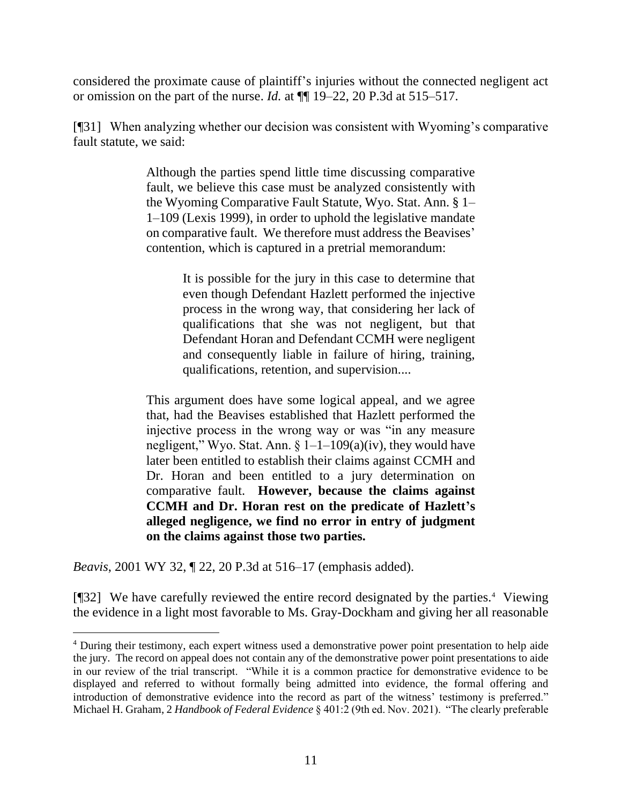considered the proximate cause of plaintiff's injuries without the connected negligent act or omission on the part of the nurse. *Id.* at ¶¶ 19–22, 20 P.3d at 515–517.

[¶31] When analyzing whether our decision was consistent with Wyoming's comparative fault statute, we said:

> Although the parties spend little time discussing comparative fault, we believe this case must be analyzed consistently with the Wyoming Comparative Fault Statute, Wyo. Stat. Ann. § 1– 1–109 (Lexis 1999), in order to uphold the legislative mandate on comparative fault. We therefore must address the Beavises' contention, which is captured in a pretrial memorandum:

> > It is possible for the jury in this case to determine that even though Defendant Hazlett performed the injective process in the wrong way, that considering her lack of qualifications that she was not negligent, but that Defendant Horan and Defendant CCMH were negligent and consequently liable in failure of hiring, training, qualifications, retention, and supervision....

This argument does have some logical appeal, and we agree that, had the Beavises established that Hazlett performed the injective process in the wrong way or was "in any measure negligent," Wyo. Stat. Ann.  $\S 1-1-109(a)(iv)$ , they would have later been entitled to establish their claims against CCMH and Dr. Horan and been entitled to a jury determination on comparative fault. **However, because the claims against CCMH and Dr. Horan rest on the predicate of Hazlett's alleged negligence, we find no error in entry of judgment on the claims against those two parties.**

*Beavis*, 2001 WY 32, ¶ 22, 20 P.3d at 516–17 (emphasis added).

[¶32] We have carefully reviewed the entire record designated by the parties.<sup>4</sup> Viewing the evidence in a light most favorable to Ms. Gray-Dockham and giving her all reasonable

<sup>4</sup> During their testimony, each expert witness used a demonstrative power point presentation to help aide the jury. The record on appeal does not contain any of the demonstrative power point presentations to aide in our review of the trial transcript. "While it is a common practice for demonstrative evidence to be displayed and referred to without formally being admitted into evidence, the formal offering and introduction of demonstrative evidence into the record as part of the witness' testimony is preferred." Michael H. Graham, 2 *Handbook of Federal Evidence* § 401:2 (9th ed. Nov. 2021). "The clearly preferable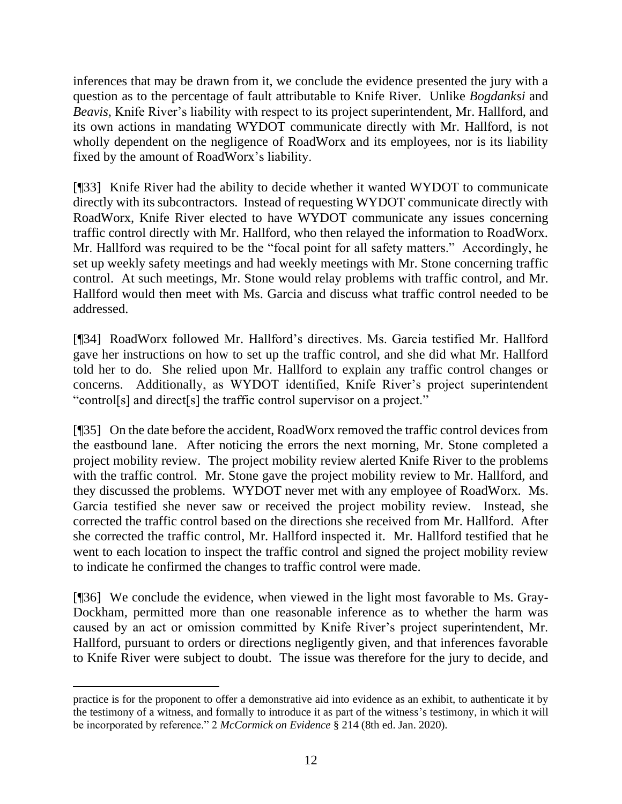inferences that may be drawn from it, we conclude the evidence presented the jury with a question as to the percentage of fault attributable to Knife River. Unlike *Bogdanksi* and *Beavis*, Knife River's liability with respect to its project superintendent, Mr. Hallford, and its own actions in mandating WYDOT communicate directly with Mr. Hallford, is not wholly dependent on the negligence of RoadWorx and its employees, nor is its liability fixed by the amount of RoadWorx's liability.

[¶33] Knife River had the ability to decide whether it wanted WYDOT to communicate directly with its subcontractors. Instead of requesting WYDOT communicate directly with RoadWorx, Knife River elected to have WYDOT communicate any issues concerning traffic control directly with Mr. Hallford, who then relayed the information to RoadWorx. Mr. Hallford was required to be the "focal point for all safety matters." Accordingly, he set up weekly safety meetings and had weekly meetings with Mr. Stone concerning traffic control. At such meetings, Mr. Stone would relay problems with traffic control, and Mr. Hallford would then meet with Ms. Garcia and discuss what traffic control needed to be addressed.

[¶34] RoadWorx followed Mr. Hallford's directives. Ms. Garcia testified Mr. Hallford gave her instructions on how to set up the traffic control, and she did what Mr. Hallford told her to do. She relied upon Mr. Hallford to explain any traffic control changes or concerns. Additionally, as WYDOT identified, Knife River's project superintendent "control[s] and direct[s] the traffic control supervisor on a project."

[¶35] On the date before the accident, RoadWorx removed the traffic control devices from the eastbound lane. After noticing the errors the next morning, Mr. Stone completed a project mobility review. The project mobility review alerted Knife River to the problems with the traffic control. Mr. Stone gave the project mobility review to Mr. Hallford, and they discussed the problems. WYDOT never met with any employee of RoadWorx. Ms. Garcia testified she never saw or received the project mobility review. Instead, she corrected the traffic control based on the directions she received from Mr. Hallford. After she corrected the traffic control, Mr. Hallford inspected it. Mr. Hallford testified that he went to each location to inspect the traffic control and signed the project mobility review to indicate he confirmed the changes to traffic control were made.

[¶36] We conclude the evidence, when viewed in the light most favorable to Ms. Gray-Dockham, permitted more than one reasonable inference as to whether the harm was caused by an act or omission committed by Knife River's project superintendent, Mr. Hallford, pursuant to orders or directions negligently given, and that inferences favorable to Knife River were subject to doubt. The issue was therefore for the jury to decide, and

practice is for the proponent to offer a demonstrative aid into evidence as an exhibit, to authenticate it by the testimony of a witness, and formally to introduce it as part of the witness's testimony, in which it will be incorporated by reference." 2 *McCormick on Evidence* § 214 (8th ed. Jan. 2020).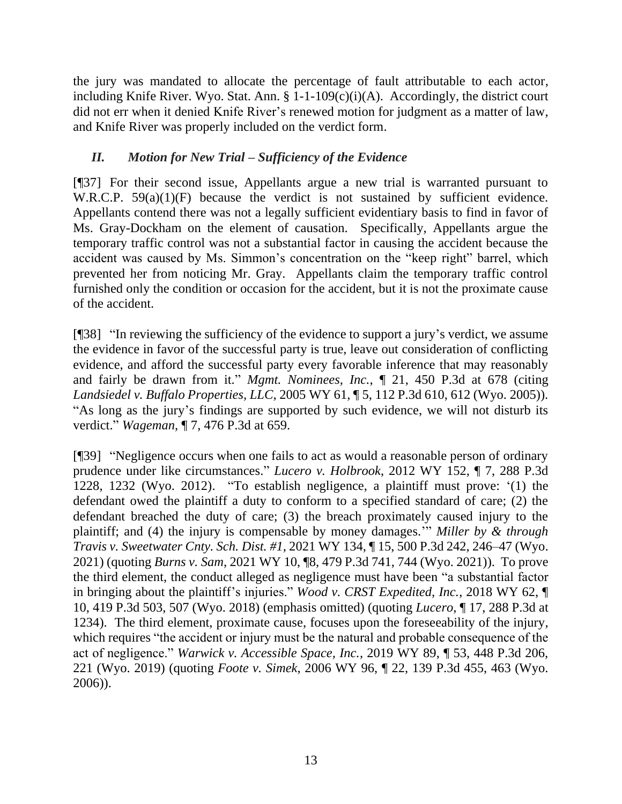the jury was mandated to allocate the percentage of fault attributable to each actor, including Knife River. Wyo. Stat. Ann.  $\S$  1-1-109(c)(i)(A). Accordingly, the district court did not err when it denied Knife River's renewed motion for judgment as a matter of law, and Knife River was properly included on the verdict form.

## *II. Motion for New Trial – Sufficiency of the Evidence*

[¶37] For their second issue, Appellants argue a new trial is warranted pursuant to W.R.C.P. 59(a)(1)(F) because the verdict is not sustained by sufficient evidence. Appellants contend there was not a legally sufficient evidentiary basis to find in favor of Ms. Gray-Dockham on the element of causation. Specifically, Appellants argue the temporary traffic control was not a substantial factor in causing the accident because the accident was caused by Ms. Simmon's concentration on the "keep right" barrel, which prevented her from noticing Mr. Gray. Appellants claim the temporary traffic control furnished only the condition or occasion for the accident, but it is not the proximate cause of the accident.

[¶38] "In reviewing the sufficiency of the evidence to support a jury's verdict, we assume the evidence in favor of the successful party is true, leave out consideration of conflicting evidence, and afford the successful party every favorable inference that may reasonably and fairly be drawn from it." *Mgmt. Nominees, Inc.*, ¶ 21, 450 P.3d at 678 (citing *Landsiedel v. Buffalo Properties, LLC*, 2005 WY 61, ¶ 5, 112 P.3d 610, 612 (Wyo. 2005)). "As long as the jury's findings are supported by such evidence, we will not disturb its verdict." *Wageman*, ¶ 7, 476 P.3d at 659.

[¶39] "Negligence occurs when one fails to act as would a reasonable person of ordinary prudence under like circumstances." *Lucero v. Holbrook*, 2012 WY 152, ¶ 7, 288 P.3d 1228, 1232 (Wyo. 2012). "To establish negligence, a plaintiff must prove: '(1) the defendant owed the plaintiff a duty to conform to a specified standard of care; (2) the defendant breached the duty of care; (3) the breach proximately caused injury to the plaintiff; and (4) the injury is compensable by money damages.'" *Miller by & through Travis v. Sweetwater Cnty. Sch. Dist. #1*, 2021 WY 134, ¶ 15, 500 P.3d 242, 246–47 (Wyo. 2021) (quoting *Burns v. Sam*, 2021 WY 10, ¶8, 479 P.3d 741, 744 (Wyo. 2021)). To prove the third element, the conduct alleged as negligence must have been "a substantial factor in bringing about the plaintiff's injuries." *Wood v. CRST Expedited, Inc.*, 2018 WY 62, ¶ 10, 419 P.3d 503, 507 (Wyo. 2018) (emphasis omitted) (quoting *Lucero*, ¶ 17, 288 P.3d at 1234). The third element, proximate cause, focuses upon the foreseeability of the injury, which requires "the accident or injury must be the natural and probable consequence of the act of negligence." *Warwick v. Accessible Space, Inc.*, 2019 WY 89, ¶ 53, 448 P.3d 206, 221 (Wyo. 2019) (quoting *Foote v. Simek*, 2006 WY 96, ¶ 22, 139 P.3d 455, 463 (Wyo. 2006)).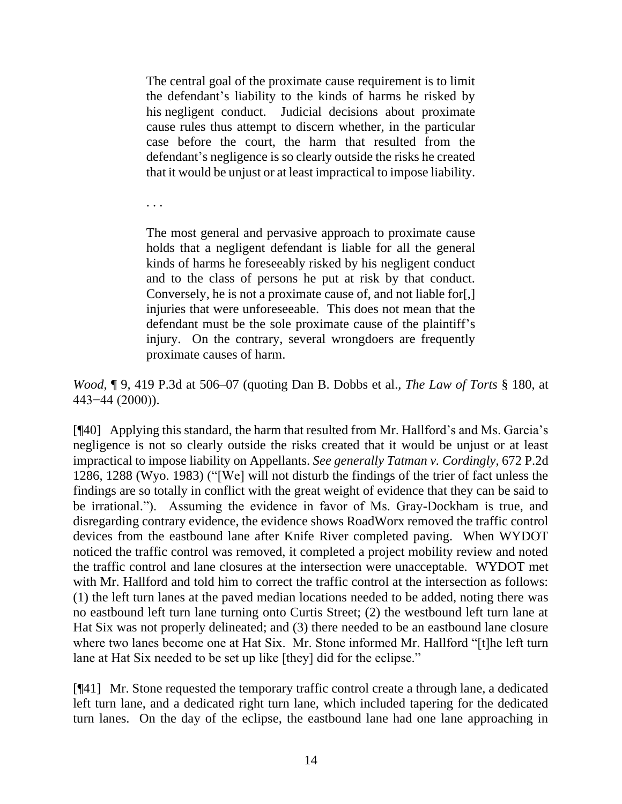The central goal of the proximate cause requirement is to limit the defendant's liability to the kinds of harms he risked by his negligent conduct. Judicial decisions about proximate cause rules thus attempt to discern whether, in the particular case before the court, the harm that resulted from the defendant's negligence is so clearly outside the risks he created that it would be unjust or at least impractical to impose liability.

. . .

The most general and pervasive approach to proximate cause holds that a negligent defendant is liable for all the general kinds of harms he foreseeably risked by his negligent conduct and to the class of persons he put at risk by that conduct. Conversely, he is not a proximate cause of, and not liable for[,] injuries that were unforeseeable. This does not mean that the defendant must be the sole proximate cause of the plaintiff's injury. On the contrary, several wrongdoers are frequently proximate causes of harm.

*Wood*, ¶ 9, 419 P.3d at 506–07 (quoting Dan B. Dobbs et al., *The Law of Torts* § 180, at 443−44 (2000)).

[¶40] Applying this standard, the harm that resulted from Mr. Hallford's and Ms. Garcia's negligence is not so clearly outside the risks created that it would be unjust or at least impractical to impose liability on Appellants. *See generally Tatman v. Cordingly*, 672 P.2d 1286, 1288 (Wyo. 1983) ("[We] will not disturb the findings of the trier of fact unless the findings are so totally in conflict with the great weight of evidence that they can be said to be irrational."). Assuming the evidence in favor of Ms. Gray-Dockham is true, and disregarding contrary evidence, the evidence shows RoadWorx removed the traffic control devices from the eastbound lane after Knife River completed paving. When WYDOT noticed the traffic control was removed, it completed a project mobility review and noted the traffic control and lane closures at the intersection were unacceptable. WYDOT met with Mr. Hallford and told him to correct the traffic control at the intersection as follows: (1) the left turn lanes at the paved median locations needed to be added, noting there was no eastbound left turn lane turning onto Curtis Street; (2) the westbound left turn lane at Hat Six was not properly delineated; and (3) there needed to be an eastbound lane closure where two lanes become one at Hat Six. Mr. Stone informed Mr. Hallford "[t]he left turn lane at Hat Six needed to be set up like [they] did for the eclipse."

[¶41] Mr. Stone requested the temporary traffic control create a through lane, a dedicated left turn lane, and a dedicated right turn lane, which included tapering for the dedicated turn lanes. On the day of the eclipse, the eastbound lane had one lane approaching in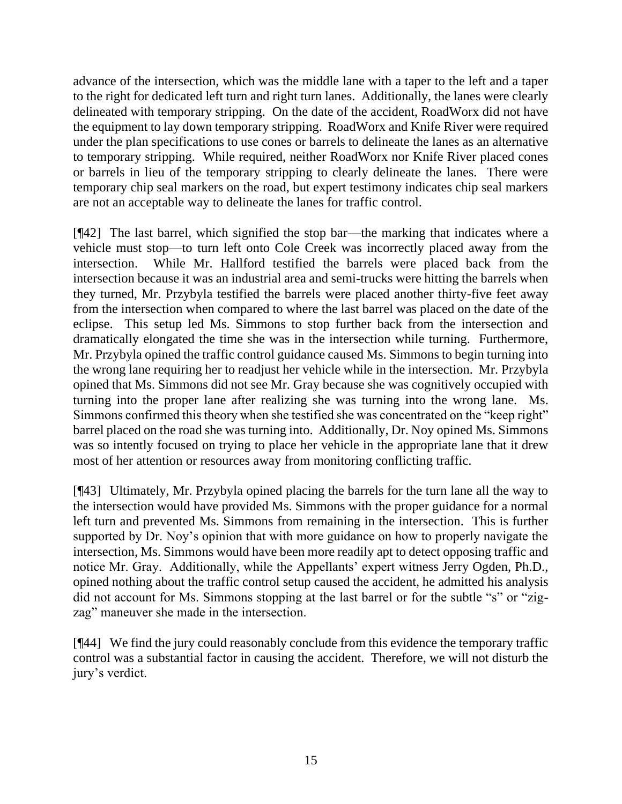advance of the intersection, which was the middle lane with a taper to the left and a taper to the right for dedicated left turn and right turn lanes. Additionally, the lanes were clearly delineated with temporary stripping. On the date of the accident, RoadWorx did not have the equipment to lay down temporary stripping. RoadWorx and Knife River were required under the plan specifications to use cones or barrels to delineate the lanes as an alternative to temporary stripping. While required, neither RoadWorx nor Knife River placed cones or barrels in lieu of the temporary stripping to clearly delineate the lanes. There were temporary chip seal markers on the road, but expert testimony indicates chip seal markers are not an acceptable way to delineate the lanes for traffic control.

[¶42] The last barrel, which signified the stop bar—the marking that indicates where a vehicle must stop—to turn left onto Cole Creek was incorrectly placed away from the intersection. While Mr. Hallford testified the barrels were placed back from the intersection because it was an industrial area and semi-trucks were hitting the barrels when they turned, Mr. Przybyla testified the barrels were placed another thirty-five feet away from the intersection when compared to where the last barrel was placed on the date of the eclipse. This setup led Ms. Simmons to stop further back from the intersection and dramatically elongated the time she was in the intersection while turning. Furthermore, Mr. Przybyla opined the traffic control guidance caused Ms. Simmons to begin turning into the wrong lane requiring her to readjust her vehicle while in the intersection. Mr. Przybyla opined that Ms. Simmons did not see Mr. Gray because she was cognitively occupied with turning into the proper lane after realizing she was turning into the wrong lane. Ms. Simmons confirmed this theory when she testified she was concentrated on the "keep right" barrel placed on the road she was turning into. Additionally, Dr. Noy opined Ms. Simmons was so intently focused on trying to place her vehicle in the appropriate lane that it drew most of her attention or resources away from monitoring conflicting traffic.

[¶43] Ultimately, Mr. Przybyla opined placing the barrels for the turn lane all the way to the intersection would have provided Ms. Simmons with the proper guidance for a normal left turn and prevented Ms. Simmons from remaining in the intersection. This is further supported by Dr. Noy's opinion that with more guidance on how to properly navigate the intersection, Ms. Simmons would have been more readily apt to detect opposing traffic and notice Mr. Gray. Additionally, while the Appellants' expert witness Jerry Ogden, Ph.D., opined nothing about the traffic control setup caused the accident, he admitted his analysis did not account for Ms. Simmons stopping at the last barrel or for the subtle "s" or "zigzag" maneuver she made in the intersection.

[¶44] We find the jury could reasonably conclude from this evidence the temporary traffic control was a substantial factor in causing the accident. Therefore, we will not disturb the jury's verdict.